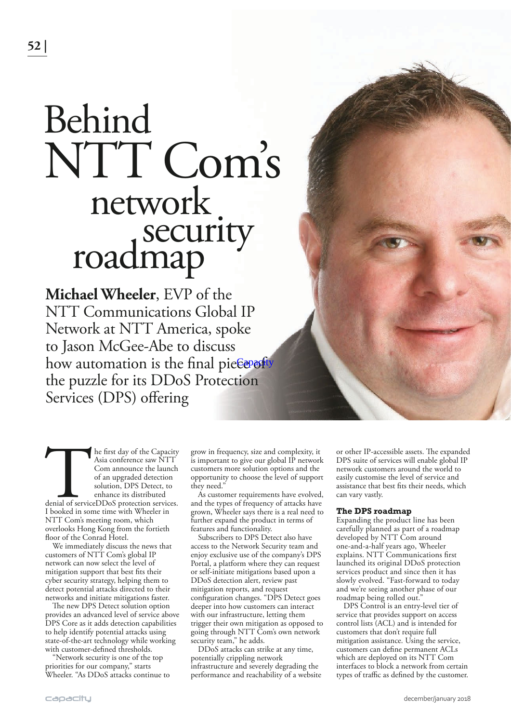## NTT Com's Behind network roadmap<br> **roadmap**

**Michael Wheeler**, EVP of the NTT Communications Global IP Network at NTT America, spoke to Jason McGee-Abe to discuss how automation is the final pie€<del>e</del>™ef<sup>ty</sup> the puzzle for its DDoS Protection Services (DPS) offering

The first day of the Capacity<br>
Asia conference saw NTT<br>
Com announce the launch<br>
of an upgraded detection<br>
solution, DPS Detect, to<br>
enhance its distributed<br>
denial of serviceDDoS protection services.<br>
I booked in some tim Asia conference saw NTT Com announce the launch of an upgraded detection solution, DPS Detect, to enhance its distributed denial of serviceDDoS protection services. NTT Com's meeting room, which overlooks Hong Kong from the fortieth floor of the Conrad Hotel.

We immediately discuss the news that customers of NTT Com's global IP network can now select the level of mitigation support that best fits their cyber security strategy, helping them to detect potential attacks directed to their networks and initiate mitigations faster.

The new DPS Detect solution option provides an advanced level of service above DPS Core as it adds detection capabilities to help identify potential attacks using state-of-the-art technology while working with customer-defined thresholds.

"Network security is one of the top priorities for our company," starts Wheeler. "As DDoS attacks continue to grow in frequency, size and complexity, it is important to give our global IP network customers more solution options and the opportunity to choose the level of support they need."

As customer requirements have evolved, and the types of frequency of attacks have grown, Wheeler says there is a real need to further expand the product in terms of features and functionality.

Subscribers to DPS Detect also have access to the Network Security team and enjoy exclusive use of the company's DPS Portal, a platform where they can request or self-initiate mitigations based upon a DDoS detection alert, review past mitigation reports, and request configuration changes. "DPS Detect goes deeper into how customers can interact with our infrastructure, letting them trigger their own mitigation as opposed to going through NTT Com's own network security team," he adds.

DDoS attacks can strike at any time, potentially crippling network infrastructure and severely degrading the performance and reachability of a website

or other IP-accessible assets. The expanded DPS suite of services will enable global IP network customers around the world to easily customise the level of service and assistance that best fits their needs, which can vary vastly.

## **The DPS roadmap**

Expanding the product line has been carefully planned as part of a roadmap developed by NTT Com around one-and-a-half years ago, Wheeler explains. NTT Communications first launched its original DDoS protection services product and since then it has slowly evolved. "Fast-forward to today and we're seeing another phase of our roadmap being rolled out.'

DPS Control is an entry-level tier of service that provides support on access control lists (ACL) and is intended for customers that don't require full mitigation assistance. Using the service, customers can define permanent ACLs which are deployed on its NTT Com interfaces to block a network from certain types of traffic as defined by the customer.